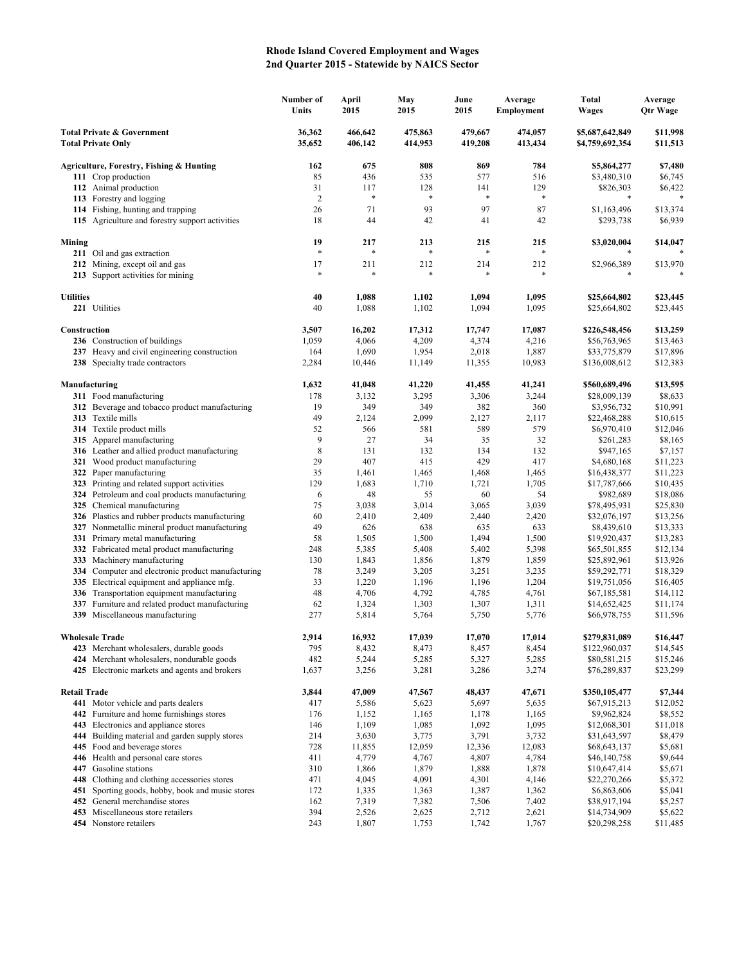## **Rhode Island Covered Employment and Wages 2nd Quarter 2015 - Statewide by NAICS Sector**

|                                                                    |                                                                                             | Number of<br>Units | April<br>2015      | May<br>2015        | June<br>2015       | Average<br>Employment | <b>Total</b><br>Wages              | Average<br><b>Qtr Wage</b> |
|--------------------------------------------------------------------|---------------------------------------------------------------------------------------------|--------------------|--------------------|--------------------|--------------------|-----------------------|------------------------------------|----------------------------|
| <b>Total Private &amp; Government</b><br><b>Total Private Only</b> |                                                                                             | 36,362<br>35,652   | 466,642<br>406,142 | 475,863<br>414,953 | 479.667<br>419,208 | 474,057<br>413,434    | \$5,687,642,849<br>\$4,759,692,354 | \$11,998<br>\$11,513       |
|                                                                    | Agriculture, Forestry, Fishing & Hunting                                                    | 162                | 675                | 808                | 869                | 784                   | \$5,864,277                        | \$7,480                    |
|                                                                    | 111 Crop production                                                                         | 85                 | 436                | 535                | 577                | 516                   | \$3,480,310                        | \$6,745                    |
|                                                                    | 112 Animal production                                                                       | 31                 | 117                | 128                | 141                | 129                   | \$826,303                          | \$6,422                    |
|                                                                    | 113 Forestry and logging                                                                    | $\overline{2}$     | $\ast$             | $\ast$             | $\ast$             | $\ast$                |                                    |                            |
|                                                                    | 114 Fishing, hunting and trapping                                                           | 26                 | 71                 | 93                 | 97                 | 87                    | \$1,163,496                        | \$13,374                   |
|                                                                    | 115 Agriculture and forestry support activities                                             | 18                 | 44                 | 42                 | 41                 | 42                    | \$293,738                          | \$6,939                    |
| Mining                                                             |                                                                                             | 19                 | 217                | 213                | 215                | 215                   | \$3,020,004                        | \$14,047                   |
|                                                                    | 211 Oil and gas extraction                                                                  | $\ast$             | *                  |                    | $\ast$             |                       |                                    |                            |
|                                                                    | 212 Mining, except oil and gas<br>213 Support activities for mining                         | 17<br>$\ast$       | 211<br>*           | 212                | 214<br>$\ast$      | 212                   | \$2,966,389<br>*                   | \$13,970                   |
| <b>Utilities</b>                                                   |                                                                                             | 40                 | 1,088              | 1,102              | 1,094              | 1,095                 | \$25,664,802                       | \$23,445                   |
|                                                                    | 221 Utilities                                                                               | 40                 | 1,088              | 1,102              | 1,094              | 1,095                 | \$25,664,802                       | \$23,445                   |
| Construction                                                       |                                                                                             | 3,507              | 16,202             | 17,312             | 17,747             | 17,087                | \$226,548,456                      | \$13,259                   |
|                                                                    | 236 Construction of buildings                                                               | 1,059              | 4,066              | 4,209              | 4,374              | 4,216                 | \$56,763,965                       | \$13,463                   |
|                                                                    | 237 Heavy and civil engineering construction                                                | 164                | 1,690              | 1,954              | 2,018              | 1,887                 | \$33,775,879                       | \$17,896                   |
|                                                                    | 238 Specialty trade contractors                                                             | 2,284              | 10,446             | 11,149             | 11,355             | 10,983                | \$136,008,612                      | \$12,383                   |
|                                                                    | Manufacturing                                                                               | 1,632              | 41,048             | 41,220             | 41,455             | 41,241                | \$560,689,496                      | \$13,595                   |
|                                                                    | 311 Food manufacturing                                                                      | 178                | 3,132              | 3,295              | 3,306              | 3,244                 | \$28,009,139                       | \$8,633                    |
|                                                                    | 312 Beverage and tobacco product manufacturing                                              | 19                 | 349                | 349                | 382                | 360                   | \$3,956,732                        | \$10,991                   |
|                                                                    | 313 Textile mills                                                                           | 49                 | 2,124              | 2,099              | 2,127              | 2,117                 | \$22,468,288                       | \$10,615                   |
|                                                                    | <b>314</b> Textile product mills                                                            | 52                 | 566                | 581                | 589                | 579                   | \$6,970,410                        | \$12,046                   |
|                                                                    | 315 Apparel manufacturing                                                                   | 9                  | 27                 | 34                 | 35                 | 32                    | \$261,283                          | \$8,165                    |
|                                                                    | 316 Leather and allied product manufacturing                                                | $\,$ 8 $\,$        | 131                | 132                | 134                | 132                   | \$947,165                          | \$7,157                    |
| 322                                                                | 321 Wood product manufacturing                                                              | 29<br>35           | 407<br>1,461       | 415<br>1,465       | 429<br>1,468       | 417<br>1,465          | \$4,680,168                        | \$11,223                   |
| 323                                                                | Paper manufacturing<br>Printing and related support activities                              | 129                | 1,683              | 1,710              | 1,721              | 1,705                 | \$16,438,377<br>\$17,787,666       | \$11,223<br>\$10,435       |
|                                                                    | 324 Petroleum and coal products manufacturing                                               | 6                  | 48                 | 55                 | 60                 | 54                    | \$982,689                          | \$18,086                   |
|                                                                    | 325 Chemical manufacturing                                                                  | 75                 | 3,038              | 3,014              | 3,065              | 3,039                 | \$78,495,931                       | \$25,830                   |
|                                                                    | 326 Plastics and rubber products manufacturing                                              | 60                 | 2,410              | 2,409              | 2,440              | 2,420                 | \$32,076,197                       | \$13,256                   |
|                                                                    | 327 Nonmetallic mineral product manufacturing                                               | 49                 | 626                | 638                | 635                | 633                   | \$8,439,610                        | \$13,333                   |
| 331                                                                | Primary metal manufacturing                                                                 | 58                 | 1,505              | 1,500              | 1,494              | 1,500                 | \$19,920,437                       | \$13,283                   |
|                                                                    | 332 Fabricated metal product manufacturing                                                  | 248                | 5,385              | 5,408              | 5,402              | 5,398                 | \$65,501,855                       | \$12,134                   |
| 333                                                                | Machinery manufacturing                                                                     | 130                | 1,843              | 1,856              | 1,879              | 1,859                 | \$25,892,961                       | \$13,926                   |
| 334                                                                | Computer and electronic product manufacturing                                               | 78                 | 3,249              | 3,205              | 3,251              | 3,235                 | \$59,292,771                       | \$18,329                   |
|                                                                    | 335 Electrical equipment and appliance mfg.                                                 | 33                 | 1,220              | 1,196              | 1,196              | 1,204                 | \$19,751,056                       | \$16,405                   |
|                                                                    | 336 Transportation equipment manufacturing                                                  | 48                 | 4,706              | 4,792              | 4,785              | 4,761                 | \$67,185,581                       | \$14,112                   |
| 337                                                                | Furniture and related product manufacturing                                                 | 62                 | 1,324              | 1,303              | 1,307              | 1,311                 | \$14,652,425                       | \$11,174                   |
|                                                                    | 339 Miscellaneous manufacturing                                                             | 277                | 5,814              | 5,764              | 5,750              | 5,776                 | \$66,978,755                       | \$11,596                   |
|                                                                    | <b>Wholesale Trade</b>                                                                      | 2,914              | 16,932             | 17,039             | 17,070             | 17,014                | \$279,831,089                      | \$16,447                   |
|                                                                    | 423 Merchant wholesalers, durable goods                                                     | 795                | 8,432              | 8,473              | 8,457              | 8,454                 | \$122,960,037                      | \$14,545                   |
|                                                                    | 424 Merchant wholesalers, nondurable goods<br>425 Electronic markets and agents and brokers | 482<br>1,637       | 5,244<br>3,256     | 5,285<br>3,281     | 5,327<br>3,286     | 5,285<br>3,274        | \$80,581,215<br>\$76,289,837       | \$15,246<br>\$23,299       |
| <b>Retail Trade</b>                                                |                                                                                             | 3,844              | 47,009             | 47,567             | 48,437             | 47,671                | \$350,105,477                      | \$7,344                    |
|                                                                    | 441 Motor vehicle and parts dealers                                                         | 417                | 5,586              | 5,623              | 5,697              | 5,635                 | \$67,915,213                       | \$12,052                   |
|                                                                    | 442 Furniture and home furnishings stores                                                   | 176                | 1,152              | 1,165              | 1,178              | 1,165                 | \$9,962,824                        | \$8,552                    |
|                                                                    | 443 Electronics and appliance stores                                                        | 146                | 1,109              | 1,085              | 1,092              | 1,095                 | \$12,068,301                       | \$11,018                   |
|                                                                    | 444 Building material and garden supply stores                                              | 214                | 3,630              | 3,775              | 3,791              | 3,732                 | \$31,643,597                       | \$8,479                    |
|                                                                    | 445 Food and beverage stores                                                                | 728                | 11,855             | 12,059             | 12,336             | 12,083                | \$68,643,137                       | \$5,681                    |
|                                                                    | 446 Health and personal care stores                                                         | 411                | 4,779              | 4,767              | 4,807              | 4,784                 | \$46,140,758                       | \$9,644                    |
|                                                                    | 447 Gasoline stations                                                                       | 310                | 1,866              | 1,879              | 1,888              | 1,878                 | \$10,647,414                       | \$5,671                    |
|                                                                    | 448 Clothing and clothing accessories stores                                                | 471                | 4,045              | 4,091              | 4,301              | 4,146                 | \$22,270,266                       | \$5,372                    |
| 451                                                                | Sporting goods, hobby, book and music stores                                                | 172                | 1,335              | 1,363              | 1,387              | 1,362                 | \$6,863,606                        | \$5,041                    |
| 452                                                                | General merchandise stores<br>453 Miscellaneous store retailers                             | 162<br>394         | 7,319              | 7,382              | 7,506              | 7,402                 | \$38,917,194                       | \$5,257                    |
|                                                                    | 454 Nonstore retailers                                                                      | 243                | 2,526<br>1,807     | 2,625<br>1,753     | 2,712<br>1,742     | 2,621<br>1,767        | \$14,734,909<br>\$20,298,258       | \$5,622<br>\$11,485        |
|                                                                    |                                                                                             |                    |                    |                    |                    |                       |                                    |                            |